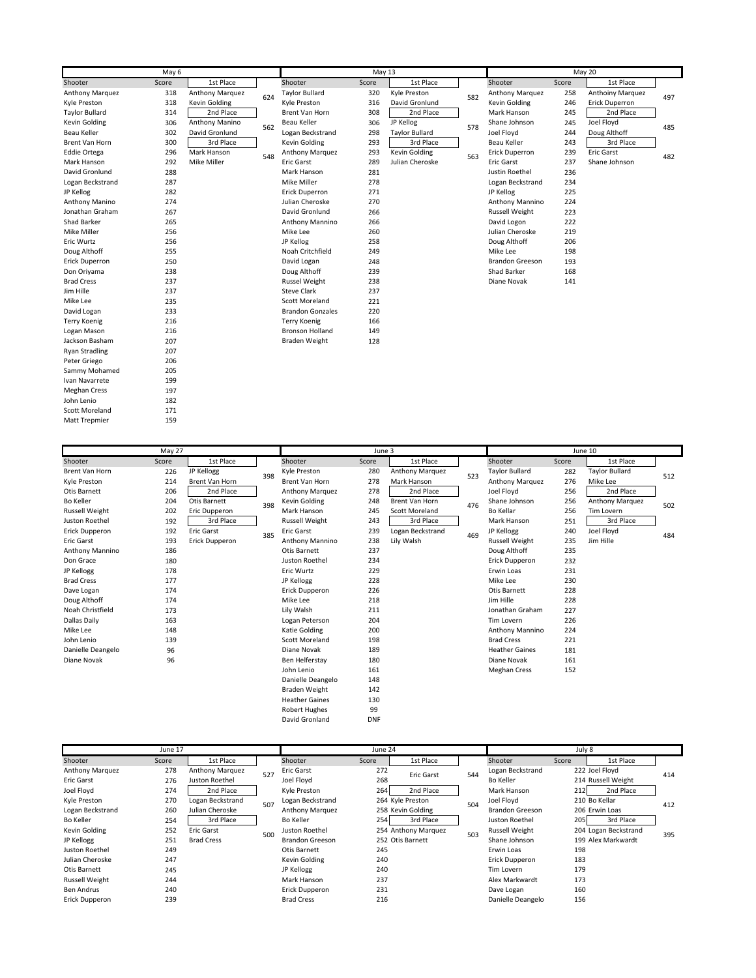|                       |       | May 13          |     |                         |       | May $20$              |     |                        |       |                         |     |
|-----------------------|-------|-----------------|-----|-------------------------|-------|-----------------------|-----|------------------------|-------|-------------------------|-----|
| Shooter               | Score | 1st Place       |     | Shooter                 | Score | 1st Place             |     | Shooter                | Score | 1st Place               |     |
| Anthony Marquez       | 318   | Anthony Marquez | 624 | <b>Taylor Bullard</b>   | 320   | Kyle Preston          | 582 | Anthony Marquez        | 258   | <b>Anthoiny Marquez</b> | 497 |
| Kyle Preston          | 318   | Kevin Golding   |     | Kyle Preston            | 316   | David Gronlund        |     | Kevin Golding          | 246   | Erick Duperron          |     |
| <b>Taylor Bullard</b> | 314   | 2nd Place       |     | <b>Brent Van Horn</b>   | 308   | 2nd Place             |     | Mark Hanson            | 245   | 2nd Place               |     |
| Kevin Golding         | 306   | Anthony Manino  | 562 | Beau Keller             | 306   | JP Kellog             | 578 | Shane Johnson          | 245   | Joel Floyd              | 485 |
| Beau Keller           | 302   | David Gronlund  |     | Logan Beckstrand        | 298   | <b>Taylor Bullard</b> |     | Joel Floyd             | 244   | Doug Althoff            |     |
| Brent Van Horn        | 300   | 3rd Place       |     | Kevin Golding           | 293   | 3rd Place             |     | Beau Keller            | 243   | 3rd Place               |     |
| <b>Eddie Ortega</b>   | 296   | Mark Hanson     | 548 | Anthony Marquez         | 293   | Kevin Golding         | 563 | Erick Duperron         | 239   | Eric Garst              | 482 |
| Mark Hanson           | 292   | Mike Miller     |     | <b>Eric Garst</b>       | 289   | Julian Cheroske       |     | Eric Garst             | 237   | Shane Johnson           |     |
| David Gronlund        | 288   |                 |     | Mark Hanson             | 281   |                       |     | Justin Roethel         | 236   |                         |     |
| Logan Beckstrand      | 287   |                 |     | Mike Miller             | 278   |                       |     | Logan Beckstrand       | 234   |                         |     |
| JP Kellog             | 282   |                 |     | Erick Duperron          | 271   |                       |     | JP Kellog              | 225   |                         |     |
| Anthony Manino        | 274   |                 |     | Julian Cheroske         | 270   |                       |     | Anthony Mannino        | 224   |                         |     |
| Jonathan Graham       | 267   |                 |     | David Gronlund          | 266   |                       |     | <b>Russell Weight</b>  | 223   |                         |     |
| Shad Barker           | 265   |                 |     | Anthony Mannino         | 266   |                       |     | David Logon            | 222   |                         |     |
| Mike Miller           | 256   |                 |     | Mike Lee                | 260   |                       |     | Julian Cheroske        | 219   |                         |     |
| Eric Wurtz            | 256   |                 |     | JP Kellog               | 258   |                       |     | Doug Althoff           | 206   |                         |     |
| Doug Althoff          | 255   |                 |     | Noah Critchfield        | 249   |                       |     | Mike Lee               | 198   |                         |     |
| Erick Duperron        | 250   |                 |     | David Logan             | 248   |                       |     | <b>Brandon Greeson</b> | 193   |                         |     |
| Don Oriyama           | 238   |                 |     | Doug Althoff            | 239   |                       |     | Shad Barker            | 168   |                         |     |
| <b>Brad Cress</b>     | 237   |                 |     | <b>Russel Weight</b>    | 238   |                       |     | Diane Novak            | 141   |                         |     |
| Jim Hille             | 237   |                 |     | <b>Steve Clark</b>      | 237   |                       |     |                        |       |                         |     |
| Mike Lee              | 235   |                 |     | <b>Scott Moreland</b>   | 221   |                       |     |                        |       |                         |     |
| David Logan           | 233   |                 |     | <b>Brandon Gonzales</b> | 220   |                       |     |                        |       |                         |     |
| <b>Terry Koenig</b>   | 216   |                 |     | <b>Terry Koenig</b>     | 166   |                       |     |                        |       |                         |     |
| Logan Mason           | 216   |                 |     | <b>Bronson Holland</b>  | 149   |                       |     |                        |       |                         |     |
| Jackson Basham        | 207   |                 |     | <b>Braden Weight</b>    | 128   |                       |     |                        |       |                         |     |
| <b>Ryan Stradling</b> | 207   |                 |     |                         |       |                       |     |                        |       |                         |     |
| Peter Griego          | 206   |                 |     |                         |       |                       |     |                        |       |                         |     |
| Sammy Mohamed         | 205   |                 |     |                         |       |                       |     |                        |       |                         |     |
| Ivan Navarrete        | 199   |                 |     |                         |       |                       |     |                        |       |                         |     |
| <b>Meghan Cress</b>   | 197   |                 |     |                         |       |                       |     |                        |       |                         |     |
| John Lenio            | 182   |                 |     |                         |       |                       |     |                        |       |                         |     |
| <b>Scott Moreland</b> | 171   |                 |     |                         |       |                       |     |                        |       |                         |     |
| <b>Matt Trepmier</b>  | 159   |                 |     |                         |       |                       |     |                        |       |                         |     |

|                        |       |                | June 3 |                        |            |                       | June 10 |                       |       |                       |     |
|------------------------|-------|----------------|--------|------------------------|------------|-----------------------|---------|-----------------------|-------|-----------------------|-----|
| Shooter                | Score | 1st Place      |        | Shooter                | Score      | 1st Place             |         | Shooter               | Score | 1st Place             |     |
| Brent Van Horn         | 226   | JP Kellogg     | 398    | Kyle Preston           | 280        | Anthony Marquez       | 523     | <b>Taylor Bullard</b> | 282   | <b>Taylor Bullard</b> | 512 |
| Kyle Preston           | 214   | Brent Van Horn |        | Brent Van Horn         | 278        | Mark Hanson           |         | Anthony Marquez       | 276   | Mike Lee              |     |
| Otis Barnett           | 206   | 2nd Place      |        | <b>Anthony Marquez</b> | 278        | 2nd Place             |         | Joel Floyd            | 256   | 2nd Place             |     |
| <b>Bo Keller</b>       | 204   | Otis Barnett   | 398    | <b>Kevin Golding</b>   | 248        | Brent Van Horn        | 476     | Shane Johnson         | 256   | Anthony Marquez       | 502 |
| <b>Russell Weight</b>  | 202   | Eric Dupperon  |        | Mark Hanson            | 245        | <b>Scott Moreland</b> |         | Bo Kellar             | 256   | Tim Lovern            |     |
| Juston Roethel         | 192   | 3rd Place      |        | <b>Russell Weight</b>  | 243        | 3rd Place             |         | Mark Hanson           | 251   | 3rd Place             |     |
| Erick Dupperon         | 192   | Eric Garst     | 385    | <b>Eric Garst</b>      | 239        | Logan Beckstrand      | 469     | JP Kellogg            | 240   | Joel Floyd            | 484 |
| Eric Garst             | 193   | Erick Dupperon |        | Anthony Mannino        | 238        | Lily Walsh            |         | <b>Russell Weight</b> | 235   | Jim Hille             |     |
| <b>Anthony Mannino</b> | 186   |                |        | Otis Barnett           | 237        |                       |         | Doug Althoff          | 235   |                       |     |
| Don Grace              | 180   |                |        | Juston Roethel         | 234        |                       |         | Erick Dupperon        | 232   |                       |     |
| JP Kellogg             | 178   |                |        | Eric Wurtz             | 229        |                       |         | Erwin Loas            | 231   |                       |     |
| <b>Brad Cress</b>      | 177   |                |        | JP Kellogg             | 228        |                       |         | Mike Lee              | 230   |                       |     |
| Dave Logan             | 174   |                |        | Erick Dupperon         | 226        |                       |         | <b>Otis Barnett</b>   | 228   |                       |     |
| Doug Althoff           | 174   |                |        | Mike Lee               | 218        |                       |         | Jim Hille             | 228   |                       |     |
| Noah Christfield       | 173   |                |        | Lily Walsh             | 211        |                       |         | Jonathan Graham       | 227   |                       |     |
| Dallas Daily           | 163   |                |        | Logan Peterson         | 204        |                       |         | Tim Lovern            | 226   |                       |     |
| Mike Lee               | 148   |                |        | <b>Katie Golding</b>   | 200        |                       |         | Anthony Mannino       | 224   |                       |     |
| John Lenio             | 139   |                |        | Scott Moreland         | 198        |                       |         | <b>Brad Cress</b>     | 221   |                       |     |
| Danielle Deangelo      | 96    |                |        | Diane Novak            | 189        |                       |         | <b>Heather Gaines</b> | 181   |                       |     |
| Diane Novak            | 96    |                |        | Ben Helferstay         | 180        |                       |         | Diane Novak           | 161   |                       |     |
|                        |       |                |        | John Lenio             | 161        |                       |         | <b>Meghan Cress</b>   | 152   |                       |     |
|                        |       |                |        | Danielle Deangelo      | 148        |                       |         |                       |       |                       |     |
|                        |       |                |        | <b>Braden Weight</b>   | 142        |                       |         |                       |       |                       |     |
|                        |       |                |        | <b>Heather Gaines</b>  | 130        |                       |         |                       |       |                       |     |
|                        |       |                |        | <b>Robert Hughes</b>   | 99         |                       |         |                       |       |                       |     |
|                        |       |                |        | David Gronland         | <b>DNF</b> |                       |         |                       |       |                       |     |

| June 17                |       |                   |     | June 24                |       |                     |     | July 8                 |       |                      |     |
|------------------------|-------|-------------------|-----|------------------------|-------|---------------------|-----|------------------------|-------|----------------------|-----|
| Shooter                | Score | 1st Place         |     | Shooter                | Score | 1st Place           |     | Shooter                | Score | 1st Place            |     |
| <b>Anthony Marquez</b> | 278   | Anthony Marquez   | 527 | <b>Eric Garst</b>      | 272   | Eric Garst          | 544 | Logan Beckstrand       |       | 222 Joel Floyd       | 414 |
| Eric Garst             | 276   | Juston Roethel    |     | Joel Flovd             | 268   |                     |     | Bo Keller              |       | 214 Russell Weight   |     |
| Joel Floyd             | 274   | 2nd Place         |     | Kyle Preston           | 264   | 2nd Place           |     | Mark Hanson            | 212   | 2nd Place            |     |
| Kyle Preston           | 270   | Logan Beckstrand  | 507 | Logan Beckstrand       |       | 264 Kyle Preston    | 504 | Joel Floyd             |       | 210 Bo Kellar        | 412 |
| Logan Beckstrand       | 260   | Julian Cheroske   |     | Anthony Marquez        |       | 258 Kevin Golding   |     | <b>Brandon Greeson</b> |       | 206 Erwin Loas       |     |
| Bo Keller              | 254   | 3rd Place         |     | Bo Keller              | 254   | 3rd Place           |     | Juston Roethel         | 205   | 3rd Place            |     |
| Kevin Golding          | 252   | Eric Garst        | 500 | Juston Roethel         |       | 254 Anthony Marquez | 503 | <b>Russell Weight</b>  |       | 204 Logan Beckstrand | 395 |
| JP Kellogg             | 251   | <b>Brad Cress</b> |     | <b>Brandon Greeson</b> |       | 252 Otis Barnett    |     | Shane Johnson          |       | 199 Alex Markwardt   |     |
| Juston Roethel         | 249   |                   |     | Otis Barnett           | 245   |                     |     | Erwin Loas             | 198   |                      |     |
| Julian Cheroske        | 247   |                   |     | Kevin Golding          | 240   |                     |     | Erick Dupperon         | 183   |                      |     |
| Otis Barnett           | 245   |                   |     | JP Kellogg             | 240   |                     |     | Tim Lovern             | 179   |                      |     |
| <b>Russell Weight</b>  | 244   |                   |     | Mark Hanson            | 237   |                     |     | Alex Markwardt         | 173   |                      |     |
| <b>Ben Andrus</b>      | 240   |                   |     | Erick Dupperon         | 231   |                     |     | Dave Logan             | 160   |                      |     |
| Erick Dupperon         | 239   |                   |     | <b>Brad Cress</b>      | 216   |                     |     | Danielle Deangelo      | 156   |                      |     |